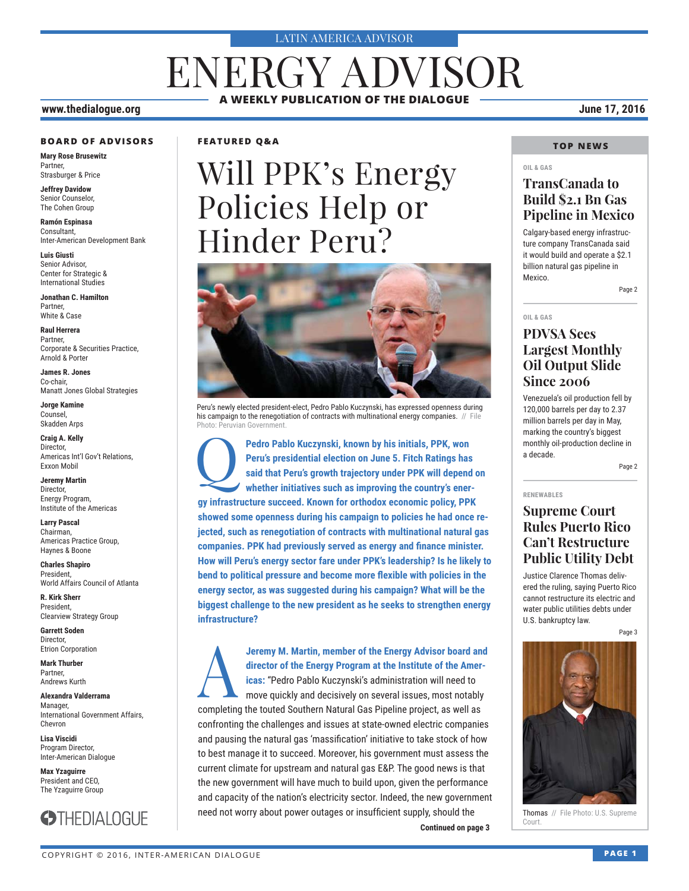#### LATIN AMERICA ADVISOR

# ENERGY ADVISOR **A WEEKLY PUBLICATION OF THE DIALOGUE**

#### **www.thedialogue.org June 17, 2016**

#### **BOARD OF ADVISORS**

**Mary Rose Brusewitz** Partner, Strasburger & Price

**Jeffrey Davidow** Senior Counselor, The Cohen Group

**Ramón Espinasa** Consultant, Inter-American Development Bank

**Luis Giusti** Senior Advisor, Center for Strategic & International Studies

**Jonathan C. Hamilton** Partner, White & Case

**Raul Herrera** Partner, Corporate & Securities Practice, Arnold & Porter

**James R. Jones** Co-chair, Manatt Jones Global Strategies

**Jorge Kamine** Counsel, Skadden Arps

**Craig A. Kelly** Director, Americas Int'l Gov't Relations, Exxon Mobil

**Jeremy Martin** Director, Energy Program, Institute of the Americas

**Larry Pascal** Chairman, Americas Practice Group, Haynes & Boone

**Charles Shapiro** President, World Affairs Council of Atlanta

**R. Kirk Sherr** President, Clearview Strategy Group

**Garrett Soden** Director, Etrion Corporation

**Mark Thurber** Partner, Andrews Kurth

**Alexandra Valderrama** Manager, International Government Affairs, Chevron

**Lisa Viscidi** Program Director, Inter-American Dialogue

**Max Yzaguirre** President and CEO, The Yzaguirre Group



### **FEATURED Q&A**

# Will PPK's Energy Policies Help or Hinder Peru?



Peru's newly elected president-elect, Pedro Pablo Kuczynski, has expressed openness during his campaign to the renegotiation of contracts with multinational energy companies. // File Photo: Peruvian Government.

**Pedro Pablo Kuczynski, known by his initials, PPK, won Peru's presidential election on June 5. Fitch Ratings has said that Peru's growth trajectory under PPK will depend whether initiatives such as improving the country's Peru's presidential election on June 5. Fitch Ratings has said that Peru's growth trajectory under PPK will depend on whether initiatives such as improving the country's energy infrastructure succeed. Known for orthodox economic policy, PPK showed some openness during his campaign to policies he had once rejected, such as renegotiation of contracts with multinational natural gas companies. PPK had previously served as energy and finance minister. How will Peru's energy sector fare under PPK's leadership? Is he likely to**  bend to political pressure and become more flexible with policies in the **energy sector, as was suggested during his campaign? What will be the biggest challenge to the new president as he seeks to strengthen energy infrastructure?**

**Jeremy M. Martin, member of the Energy Advisor board and director of the Energy Program at the Institute of the Americas: "Pedro Pablo Kuczynski's administration will need to move quickly and decisively on several issues, director of the Energy Program at the Institute of the Americas:** "Pedro Pablo Kuczynski's administration will need to move quickly and decisively on several issues, most notably completing the touted Southern Natural Gas Pipeline project, as well as confronting the challenges and issues at state-owned electric companies and pausing the natural gas 'massification' initiative to take stock of how to best manage it to succeed. Moreover, his government must assess the current climate for upstream and natural gas E&P. The good news is that the new government will have much to build upon, given the performance and capacity of the nation's electricity sector. Indeed, the new government need not worry about power outages or insufficient supply, should the

**Continued on page 3** 

### **TOP NEWS**

### **OIL & GAS**

### **TransCanada to Build \$2.1 Bn Gas Pipeline in Mexico**

Calgary-based energy infrastructure company TransCanada said it would build and operate a \$2.1 billion natural gas pipeline in Mexico.

Page 2

#### **OIL & GAS**

### **PDVSA Sees Largest Monthly Oil Output Slide Since 2006**

Venezuela's oil production fell by 120,000 barrels per day to 2.37 million barrels per day in May, marking the country's biggest monthly oil-production decline in a decade.

Page 2

**RENEWABLES**

### **Supreme Court Rules Puerto Rico Can't Restructure Public Utility Debt**

Justice Clarence Thomas delivered the ruling, saying Puerto Rico cannot restructure its electric and water public utilities debts under U.S. bankruptcy law.

Page 3



Thomas // File Photo: U.S. Supreme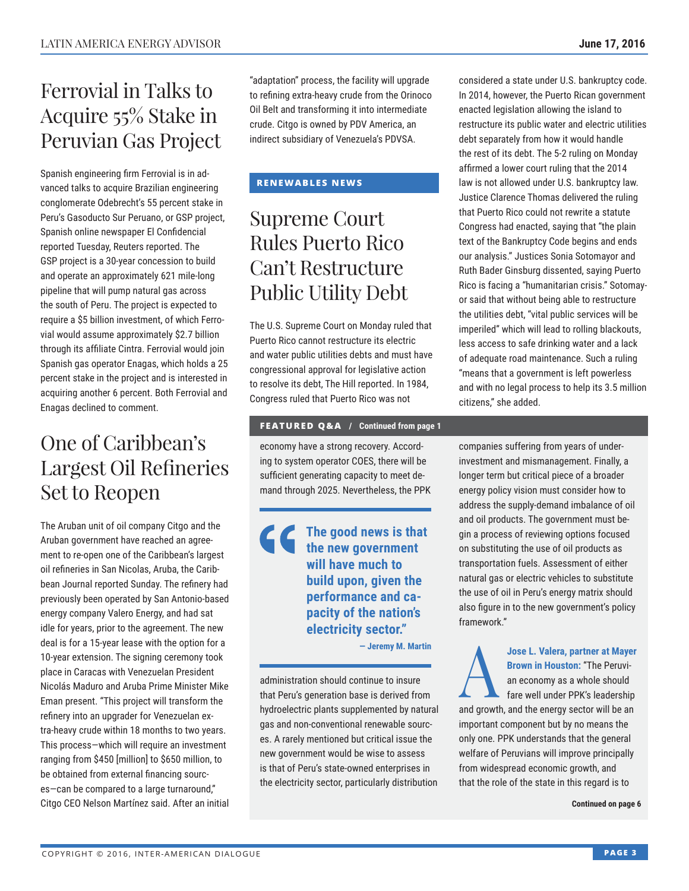# Ferrovial in Talks to Acquire 55% Stake in Peruvian Gas Project

Spanish engineering firm Ferrovial is in advanced talks to acquire Brazilian engineering conglomerate Odebrecht's 55 percent stake in Peru's Gasoducto Sur Peruano, or GSP project, Spanish online newspaper El Confidencial reported Tuesday, Reuters reported. The GSP project is a 30-year concession to build and operate an approximately 621 mile-long pipeline that will pump natural gas across the south of Peru. The project is expected to require a \$5 billion investment, of which Ferrovial would assume approximately \$2.7 billion through its affiliate Cintra. Ferrovial would join Spanish gas operator Enagas, which holds a 25 percent stake in the project and is interested in acquiring another 6 percent. Both Ferrovial and Enagas declined to comment.

# One of Caribbean's Largest Oil Refineries Set to Reopen

The Aruban unit of oil company Citgo and the Aruban government have reached an agreement to re-open one of the Caribbean's largest oil refineries in San Nicolas, Aruba, the Caribbean Journal reported Sunday. The refinery had previously been operated by San Antonio-based energy company Valero Energy, and had sat idle for years, prior to the agreement. The new deal is for a 15-year lease with the option for a 10-year extension. The signing ceremony took place in Caracas with Venezuelan President Nicolás Maduro and Aruba Prime Minister Mike Eman present. "This project will transform the refinery into an upgrader for Venezuelan extra-heavy crude within 18 months to two years. This process—which will require an investment ranging from \$450 [million] to \$650 million, to be obtained from external financing sources—can be compared to a large turnaround," Citgo CEO Nelson Martínez said. After an initial

"adaptation" process, the facility will upgrade to refining extra-heavy crude from the Orinoco Oil Belt and transforming it into intermediate crude. Citgo is owned by PDV America, an indirect subsidiary of Venezuela's PDVSA.

### **RENEWABLES NEWS**

# Supreme Court Rules Puerto Rico Can't Restructure Public Utility Debt

The U.S. Supreme Court on Monday ruled that Puerto Rico cannot restructure its electric and water public utilities debts and must have congressional approval for legislative action to resolve its debt, The Hill reported. In 1984, Congress ruled that Puerto Rico was not

### **FEATURED Q&A / Continued from page 1**

economy have a strong recovery. According to system operator COES, there will be sufficient generating capacity to meet demand through 2025. Nevertheless, the PPK

### **The good news is that the new government will have much to build upon, given the performance and capacity of the nation's electricity sector."**

**— Jeremy M. Martin**

administration should continue to insure that Peru's generation base is derived from hydroelectric plants supplemented by natural gas and non-conventional renewable sources. A rarely mentioned but critical issue the new government would be wise to assess is that of Peru's state-owned enterprises in the electricity sector, particularly distribution

considered a state under U.S. bankruptcy code. In 2014, however, the Puerto Rican government enacted legislation allowing the island to restructure its public water and electric utilities debt separately from how it would handle the rest of its debt. The 5-2 ruling on Monday affirmed a lower court ruling that the 2014 law is not allowed under U.S. bankruptcy law. Justice Clarence Thomas delivered the ruling that Puerto Rico could not rewrite a statute Congress had enacted, saying that "the plain text of the Bankruptcy Code begins and ends our analysis." Justices Sonia Sotomayor and Ruth Bader Ginsburg dissented, saying Puerto Rico is facing a "humanitarian crisis." Sotomayor said that without being able to restructure the utilities debt, "vital public services will be imperiled" which will lead to rolling blackouts, less access to safe drinking water and a lack of adequate road maintenance. Such a ruling "means that a government is left powerless and with no legal process to help its 3.5 million citizens," she added.

companies suffering from years of underinvestment and mismanagement. Finally, a longer term but critical piece of a broader energy policy vision must consider how to address the supply-demand imbalance of oil and oil products. The government must begin a process of reviewing options focused on substituting the use of oil products as transportation fuels. Assessment of either natural gas or electric vehicles to substitute the use of oil in Peru's energy matrix should also figure in to the new government's policy framework."

Jose L. Valera, partner at Mayer<br>Brown in Houston: "The Peruvi-<br>an economy as a whole should<br>fare well under PPK's leadership **Brown in Houston:** "The Peruvian economy as a whole should fare well under PPK's leadership

and growth, and the energy sector will be an important component but by no means the only one. PPK understands that the general welfare of Peruvians will improve principally from widespread economic growth, and that the role of the state in this regard is to

**Continued on page 6**